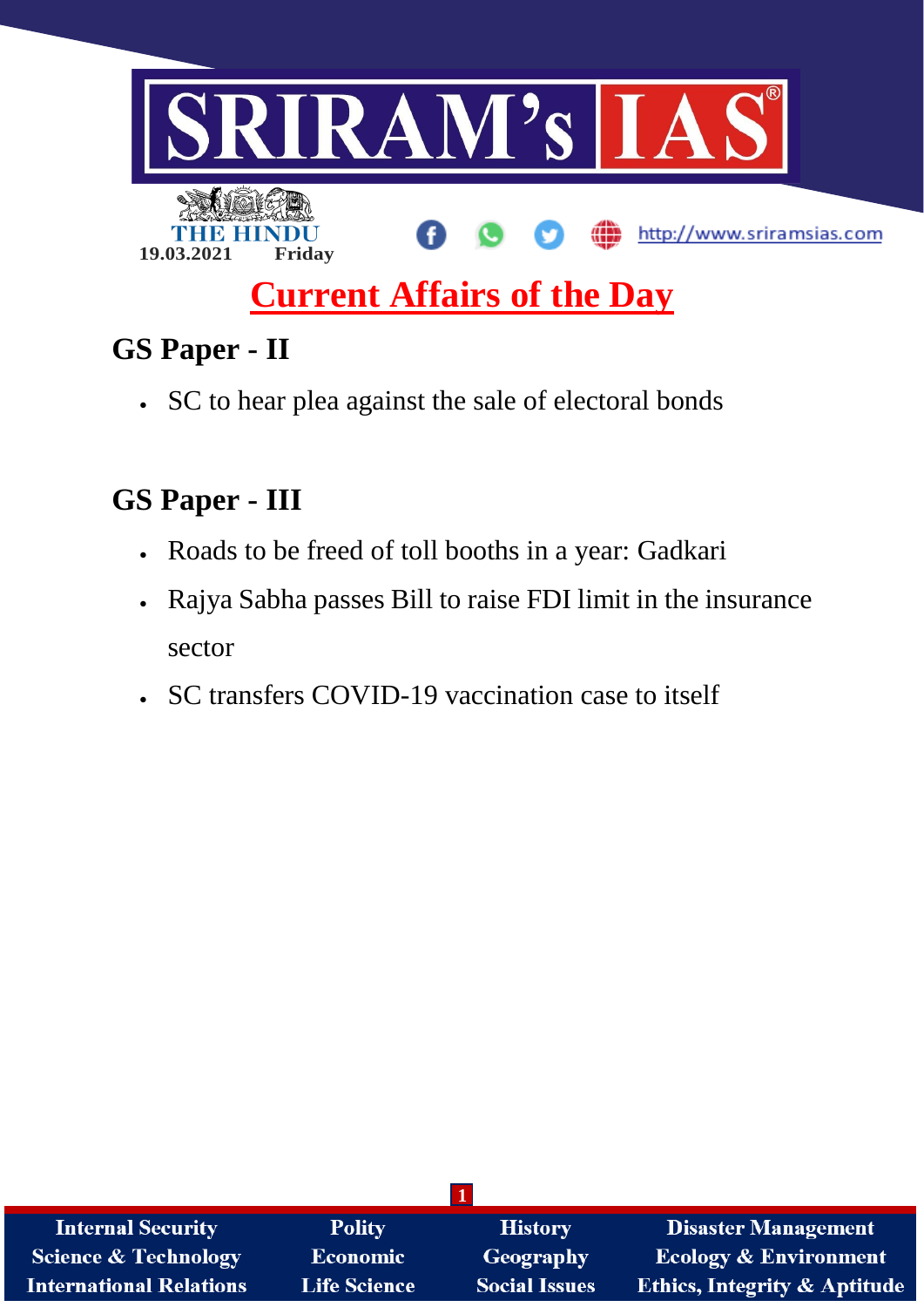

# **Current Affairs of the Day**

# **GS Paper - II**

SC to hear plea against the sale of electoral bonds

# **GS Paper - III**

- Roads to be freed of toll booths in a year: Gadkari
- Rajya Sabha passes Bill to raise FDI limit in the insurance sector
- SC transfers COVID-19 vaccination case to itself

| <b>Internal Security</b>        | <b>Polity</b>       | <b>History</b>       | Disaster Management                     |
|---------------------------------|---------------------|----------------------|-----------------------------------------|
| <b>Science &amp; Technology</b> | <b>Economic</b>     | Geography            | <b>Ecology &amp; Environment</b>        |
| <b>International Relations</b>  | <b>Life Science</b> | <b>Social Issues</b> | <b>Ethics, Integrity &amp; Aptitude</b> |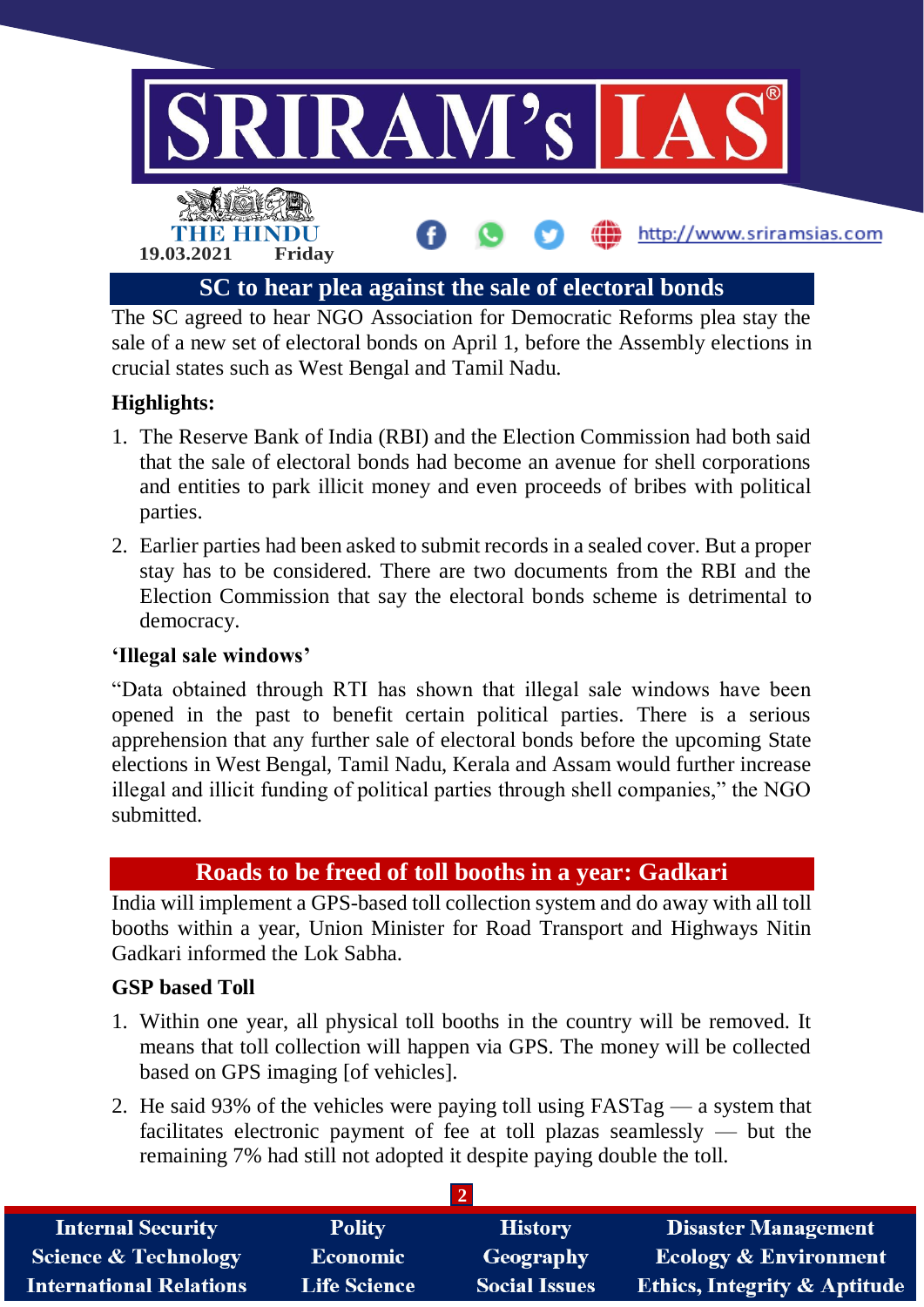

The SC agreed to hear NGO Association for Democratic Reforms plea stay the sale of a new set of electoral bonds on April 1, before the Assembly elections in crucial states such as West Bengal and Tamil Nadu.

## **Highlights:**

- 1. The Reserve Bank of India (RBI) and the Election Commission had both said that the sale of electoral bonds had become an avenue for shell corporations and entities to park illicit money and even proceeds of bribes with political parties.
- 2. Earlier parties had been asked to submit records in a sealed cover. But a proper stay has to be considered. There are two documents from the RBI and the Election Commission that say the electoral bonds scheme is detrimental to democracy.

#### **'Illegal sale windows'**

"Data obtained through RTI has shown that illegal sale windows have been opened in the past to benefit certain political parties. There is a serious apprehension that any further sale of electoral bonds before the upcoming State elections in West Bengal, Tamil Nadu, Kerala and Assam would further increase illegal and illicit funding of political parties through shell companies," the NGO submitted.

# **Roads to be freed of toll booths in a year: Gadkari**

India will implement a GPS-based toll collection system and do away with all toll booths within a year, Union Minister for Road Transport and Highways Nitin Gadkari informed the Lok Sabha.

### **GSP based Toll**

- 1. Within one year, all physical toll booths in the country will be removed. It means that toll collection will happen via GPS. The money will be collected based on GPS imaging [of vehicles].
- 2. He said 93% of the vehicles were paying toll using FASTag a system that facilitates electronic payment of fee at toll plazas seamlessly — but the remaining 7% had still not adopted it despite paying double the toll.

| <b>Internal Security</b>        | <b>Polity</b>       | <b>History</b>       | <b>Disaster Management</b>              |
|---------------------------------|---------------------|----------------------|-----------------------------------------|
| <b>Science &amp; Technology</b> | <b>Economic</b>     | Geography            | <b>Ecology &amp; Environment</b>        |
| <b>International Relations</b>  | <b>Life Science</b> | <b>Social Issues</b> | <b>Ethics, Integrity &amp; Aptitude</b> |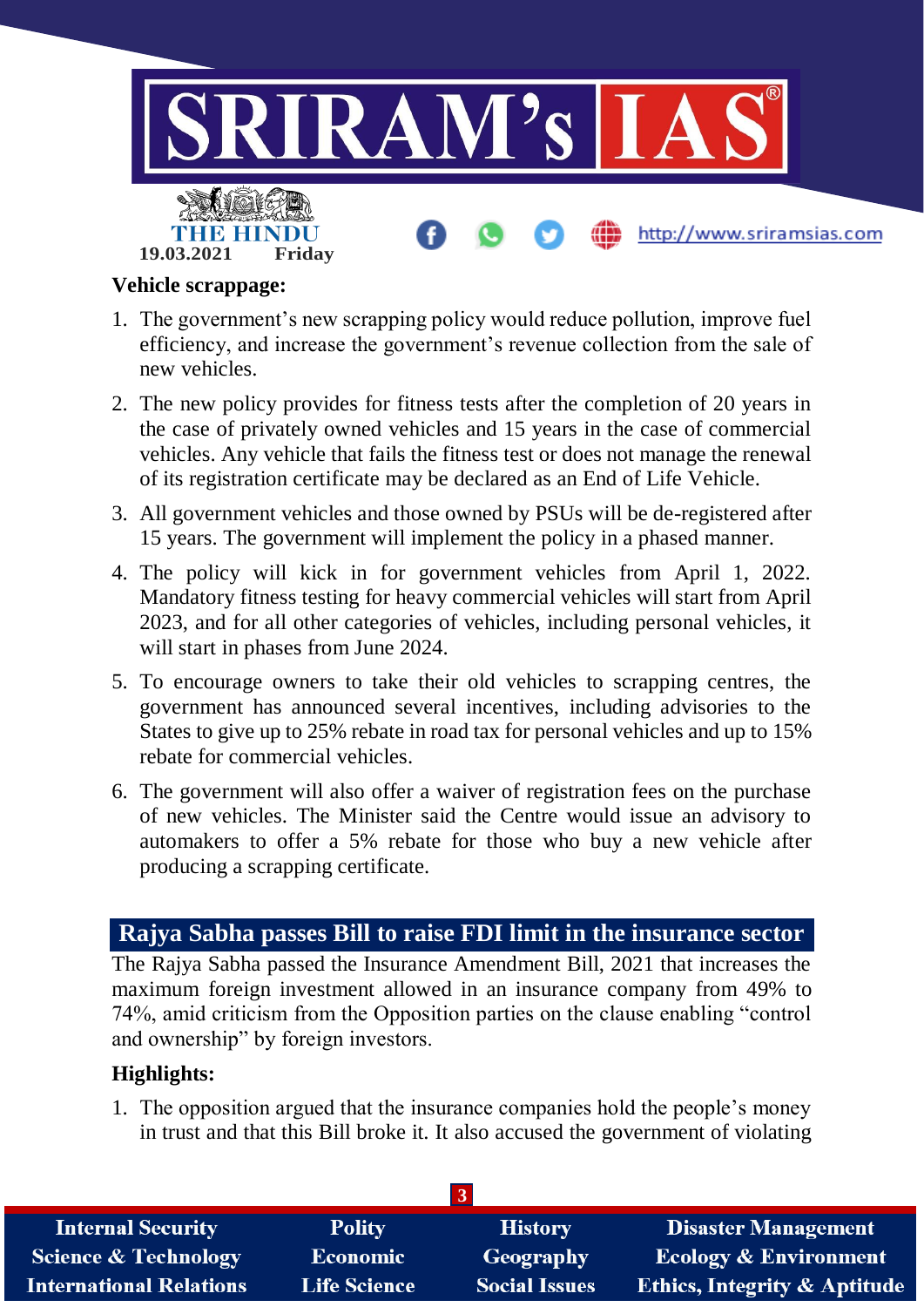

#### **Vehicle scrappage:**

- 1. The government's new scrapping policy would reduce pollution, improve fuel efficiency, and increase the government's revenue collection from the sale of new vehicles.
- 2. The new policy provides for fitness tests after the completion of 20 years in the case of privately owned vehicles and 15 years in the case of commercial vehicles. Any vehicle that fails the fitness test or does not manage the renewal of its registration certificate may be declared as an End of Life Vehicle.
- 3. All government vehicles and those owned by PSUs will be de-registered after 15 years. The government will implement the policy in a phased manner.
- 4. The policy will kick in for government vehicles from April 1, 2022. Mandatory fitness testing for heavy commercial vehicles will start from April 2023, and for all other categories of vehicles, including personal vehicles, it will start in phases from June 2024.
- 5. To encourage owners to take their old vehicles to scrapping centres, the government has announced several incentives, including advisories to the States to give up to 25% rebate in road tax for personal vehicles and up to 15% rebate for commercial vehicles.
- 6. The government will also offer a waiver of registration fees on the purchase of new vehicles. The Minister said the Centre would issue an advisory to automakers to offer a 5% rebate for those who buy a new vehicle after producing a scrapping certificate.

### **Rajya Sabha passes Bill to raise FDI limit in the insurance sector**

The Rajya Sabha passed the Insurance Amendment Bill, 2021 that increases the maximum foreign investment allowed in an insurance company from 49% to 74%, amid criticism from the Opposition parties on the clause enabling "control and ownership" by foreign investors.

#### **Highlights:**

1. The opposition argued that the insurance companies hold the people's money in trust and that this Bill broke it. It also accused the government of violating

| <b>Internal Security</b>        | <b>Polity</b>       | <b>History</b>       | <b>Disaster Management</b>              |
|---------------------------------|---------------------|----------------------|-----------------------------------------|
| <b>Science &amp; Technology</b> | <b>Economic</b>     | Geography            | <b>Ecology &amp; Environment</b>        |
| <b>International Relations</b>  | <b>Life Science</b> | <b>Social Issues</b> | <b>Ethics, Integrity &amp; Aptitude</b> |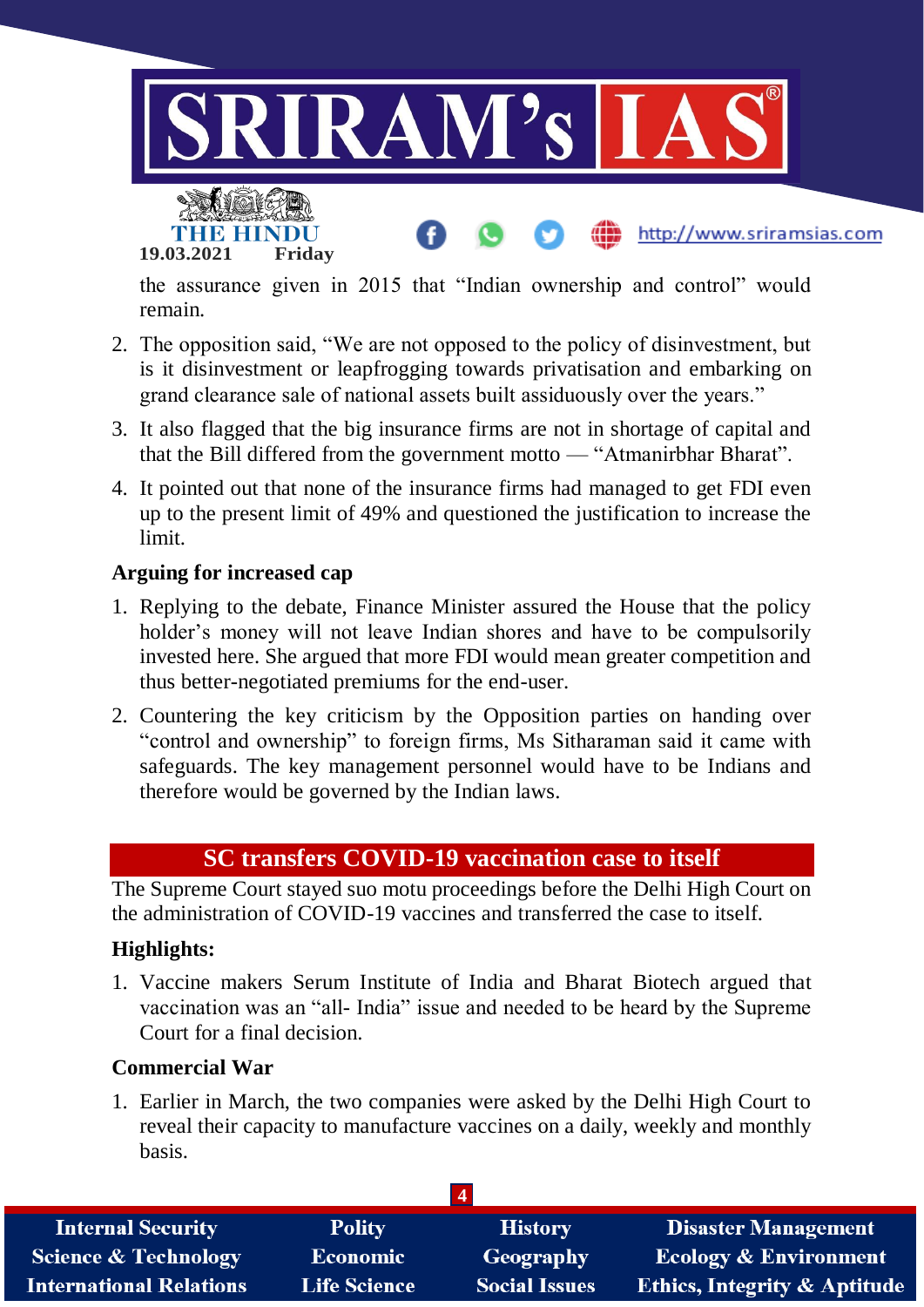

the assurance given in 2015 that "Indian ownership and control" would remain.

- 2. The opposition said, "We are not opposed to the policy of disinvestment, but is it disinvestment or leapfrogging towards privatisation and embarking on grand clearance sale of national assets built assiduously over the years."
- 3. It also flagged that the big insurance firms are not in shortage of capital and that the Bill differed from the government motto — "Atmanirbhar Bharat".
- 4. It pointed out that none of the insurance firms had managed to get FDI even up to the present limit of 49% and questioned the justification to increase the limit.

#### **Arguing for increased cap**

- 1. Replying to the debate, Finance Minister assured the House that the policy holder's money will not leave Indian shores and have to be compulsorily invested here. She argued that more FDI would mean greater competition and thus better-negotiated premiums for the end-user.
- 2. Countering the key criticism by the Opposition parties on handing over "control and ownership" to foreign firms, Ms Sitharaman said it came with safeguards. The key management personnel would have to be Indians and therefore would be governed by the Indian laws.

# **SC transfers COVID-19 vaccination case to itself**

The Supreme Court stayed suo motu proceedings before the Delhi High Court on the administration of COVID-19 vaccines and transferred the case to itself.

#### **Highlights:**

1. Vaccine makers Serum Institute of India and Bharat Biotech argued that vaccination was an "all- India" issue and needed to be heard by the Supreme Court for a final decision.

#### **Commercial War**

1. Earlier in March, the two companies were asked by the Delhi High Court to reveal their capacity to manufacture vaccines on a daily, weekly and monthly basis.

| <b>Internal Security</b>        | <b>Polity</b>       | <b>History</b>       | <b>Disaster Management</b>              |
|---------------------------------|---------------------|----------------------|-----------------------------------------|
| <b>Science &amp; Technology</b> | <b>Economic</b>     | Geography            | <b>Ecology &amp; Environment</b>        |
| <b>International Relations</b>  | <b>Life Science</b> | <b>Social Issues</b> | <b>Ethics, Integrity &amp; Aptitude</b> |